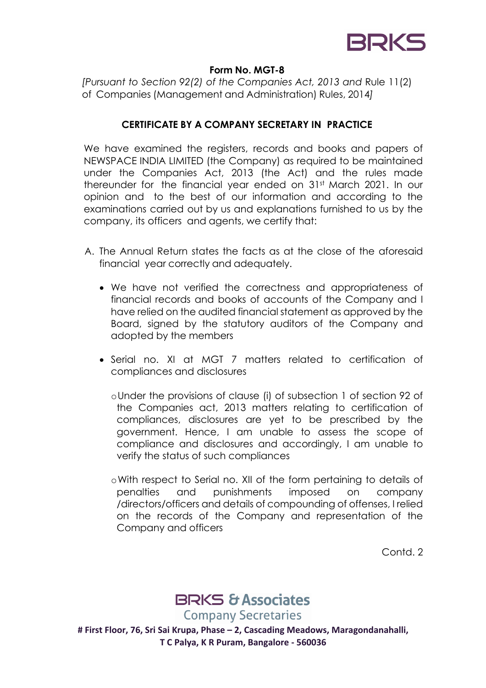

#### **Form No. MGT-8**

*[Pursuant to Section 92(2) of the Companies Act, 2013 and* Rule 11(2) of Companies (Management and Administration) Rules, 2014*]*

### **CERTIFICATE BY A COMPANY SECRETARY IN PRACTICE**

We have examined the reaisters, records and books and papers of NEWSPACE INDIA LIMITED (the Company) as required to be maintained under the Companies Act, 2013 (the Act) and the rules made thereunder for the financial year ended on 31st March 2021. In our opinion and to the best of our information and according to the examinations carried out by us and explanations furnished to us by the company, its officers and agents, we certify that:

- A. The Annual Return states the facts as at the close of the aforesaid financial year correctly and adequately.
	- We have not verified the correctness and appropriateness of financial records and books of accounts of the Company and I have relied on the audited financial statement as approved by the Board, signed by the statutory auditors of the Company and adopted by the members
	- Serial no. XI at MGT 7 matters related to certification of compliances and disclosures
		- oUnder the provisions of clause (i) of subsection 1 of section 92 of the Companies act, 2013 matters relating to certification of compliances, disclosures are yet to be prescribed by the government. Hence, I am unable to assess the scope of compliance and disclosures and accordingly, I am unable to verify the status of such compliances
		- oWith respect to Serial no. XII of the form pertaining to details of penalties and punishments imposed on company /directors/officers and details of compounding of offenses, I relied on the records of the Company and representation of the Company and officers

Contd. 2



**Company Secretaries** 

**# First Floor, 76, Sri Sai Krupa, Phase – 2, Cascading Meadows, Maragondanahalli, T C Palya, K R Puram, Bangalore - 560036**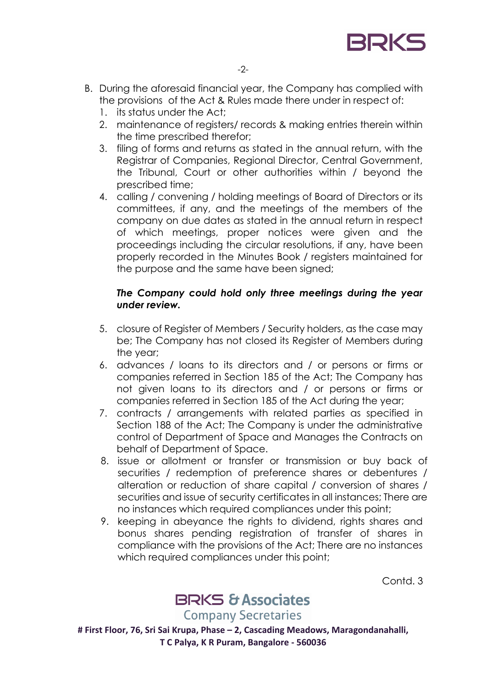

- B. During the aforesaid financial year, the Company has complied with the provisions of the Act & Rules made there under in respect of:
	- 1. its status under the Act;
	- 2. maintenance of registers/ records & making entries therein within the time prescribed therefor;
	- 3. filing of forms and returns as stated in the annual return, with the Registrar of Companies, Regional Director, Central Government, the Tribunal, Court or other authorities within / beyond the prescribed time;
	- 4. calling / convening / holding meetings of Board of Directors or its committees, if any, and the meetings of the members of the company on due dates as stated in the annual return in respect of which meetings, proper notices were given and the proceedings including the circular resolutions, if any, have been properly recorded in the Minutes Book / registers maintained for the purpose and the same have been signed;

## *The Company could hold only three meetings during the year under review.*

- 5. closure of Register of Members / Security holders, as the case may be; The Company has not closed its Register of Members during the year;
- 6. advances / loans to its directors and / or persons or firms or companies referred in Section 185 of the Act; The Company has not given loans to its directors and / or persons or firms or companies referred in Section 185 of the Act during the year;
- 7. contracts / arrangements with related parties as specified in Section 188 of the Act; The Company is under the administrative control of Department of Space and Manages the Contracts on behalf of Department of Space.
- 8. issue or allotment or transfer or transmission or buy back of securities / redemption of preference shares or debentures / alteration or reduction of share capital / conversion of shares / securities and issue of security certificates in all instances; There are no instances which required compliances under this point;
- 9. keeping in abeyance the rights to dividend, rights shares and bonus shares pending registration of transfer of shares in compliance with the provisions of the Act; There are no instances which required compliances under this point;

Contd. 3

# **BRKS & Associates**

**Company Secretaries** 

**# First Floor, 76, Sri Sai Krupa, Phase – 2, Cascading Meadows, Maragondanahalli, T C Palya, K R Puram, Bangalore - 560036**